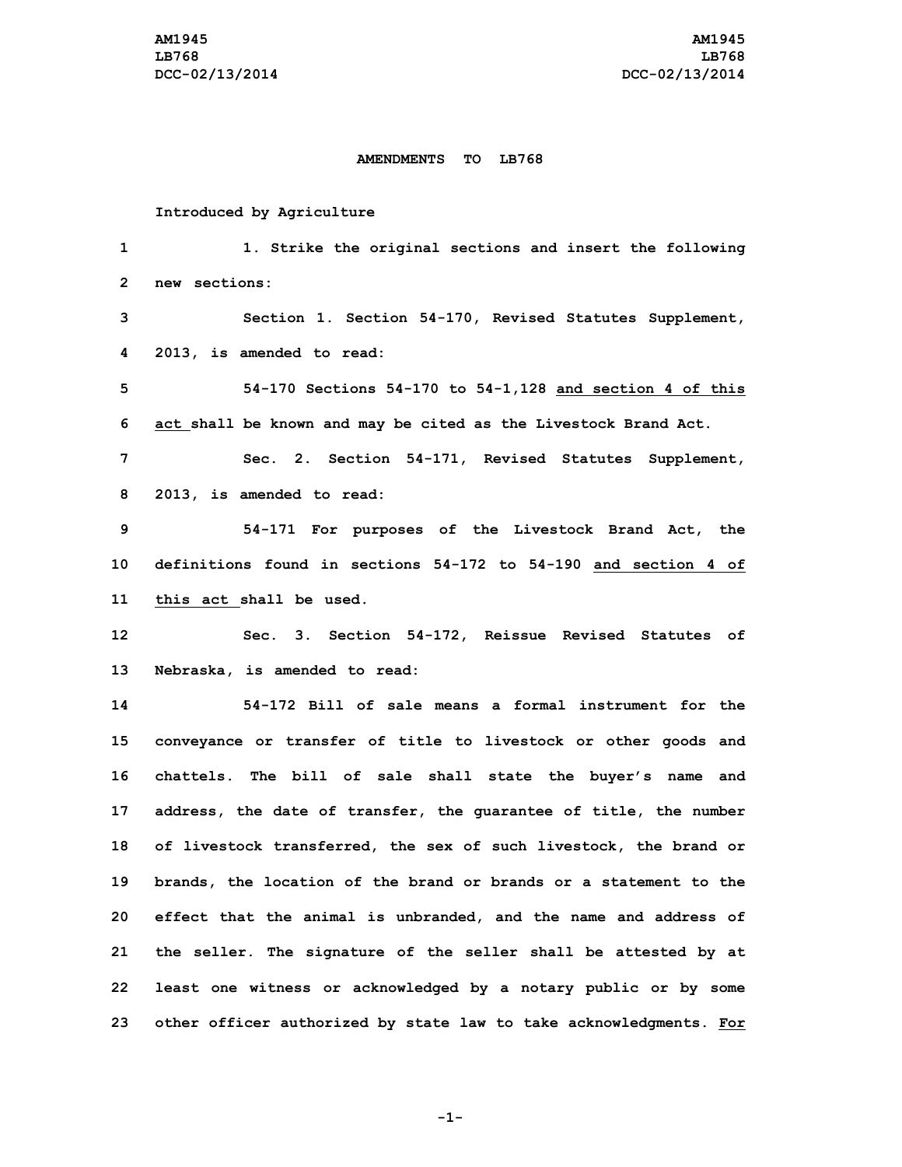## **AMENDMENTS TO LB768**

## **Introduced by Agriculture**

 **1. Strike the original sections and insert the following new sections: Section 1. Section 54-170, Revised Statutes Supplement, 2013, is amended to read: 54-170 Sections 54-170 to 54-1,128 and section 4 of this act shall be known and may be cited as the Livestock Brand Act. Sec. 2. Section 54-171, Revised Statutes Supplement, 2013, is amended to read: 54-171 For purposes of the Livestock Brand Act, the definitions found in sections 54-172 to 54-190 and section 4 of this act shall be used. Sec. 3. Section 54-172, Reissue Revised Statutes of Nebraska, is amended to read: 54-172 Bill of sale means a formal instrument for the conveyance or transfer of title to livestock or other goods and chattels. The bill of sale shall state the buyer's name and address, the date of transfer, the guarantee of title, the number of livestock transferred, the sex of such livestock, the brand or brands, the location of the brand or brands or <sup>a</sup> statement to the effect that the animal is unbranded, and the name and address of the seller. The signature of the seller shall be attested by at least one witness or acknowledged by <sup>a</sup> notary public or by some other officer authorized by state law to take acknowledgments. For**

**-1-**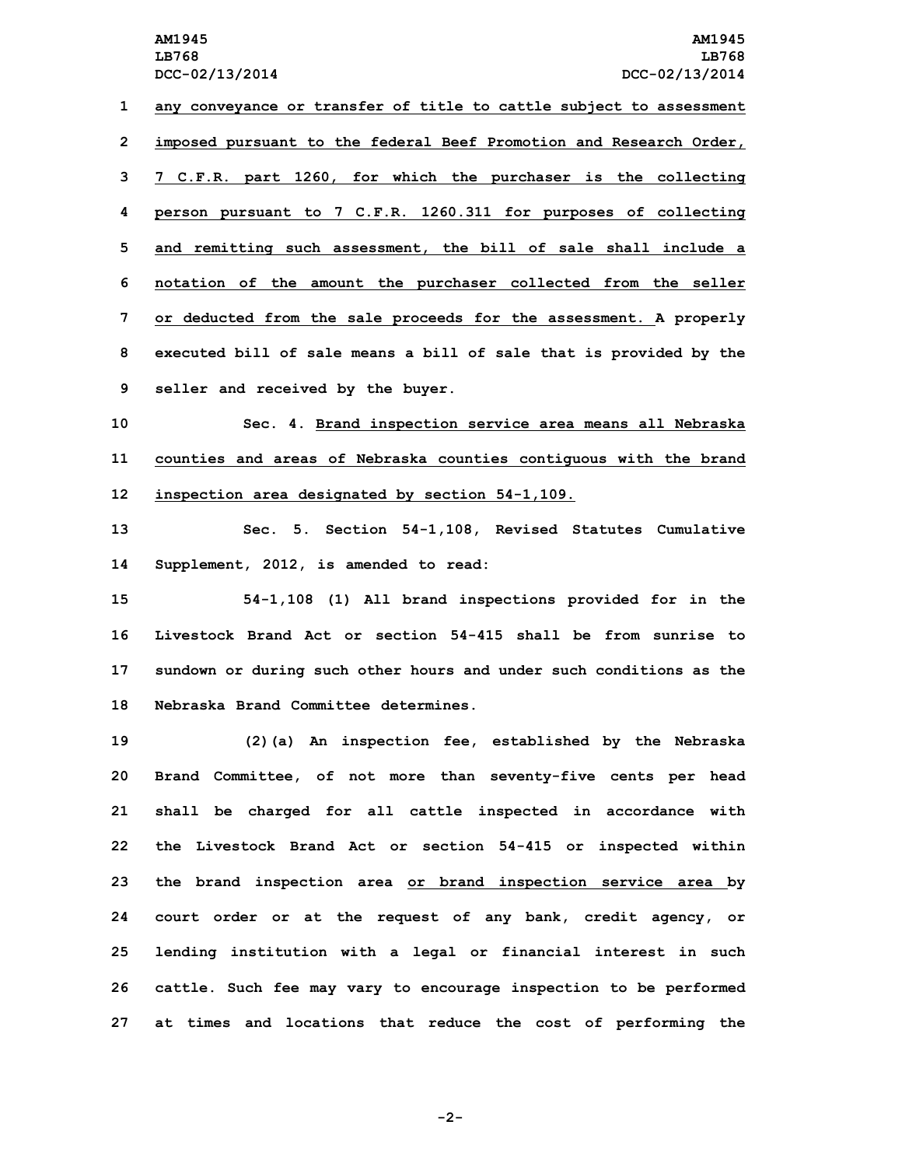**any conveyance or transfer of title to cattle subject to assessment imposed pursuant to the federal Beef Promotion and Research Order, 7 C.F.R. part 1260, for which the purchaser is the collecting person pursuant to 7 C.F.R. 1260.311 for purposes of collecting and remitting such assessment, the bill of sale shall include <sup>a</sup> notation of the amount the purchaser collected from the seller or deducted from the sale proceeds for the assessment. A properly executed bill of sale means <sup>a</sup> bill of sale that is provided by the seller and received by the buyer.**

**10 Sec. 4. Brand inspection service area means all Nebraska 11 counties and areas of Nebraska counties contiguous with the brand 12 inspection area designated by section 54-1,109.**

**13 Sec. 5. Section 54-1,108, Revised Statutes Cumulative 14 Supplement, 2012, is amended to read:**

 **54-1,108 (1) All brand inspections provided for in the Livestock Brand Act or section 54-415 shall be from sunrise to sundown or during such other hours and under such conditions as the Nebraska Brand Committee determines.**

 **(2)(a) An inspection fee, established by the Nebraska Brand Committee, of not more than seventy-five cents per head shall be charged for all cattle inspected in accordance with the Livestock Brand Act or section 54-415 or inspected within the brand inspection area or brand inspection service area by court order or at the request of any bank, credit agency, or lending institution with <sup>a</sup> legal or financial interest in such cattle. Such fee may vary to encourage inspection to be performed at times and locations that reduce the cost of performing the**

**-2-**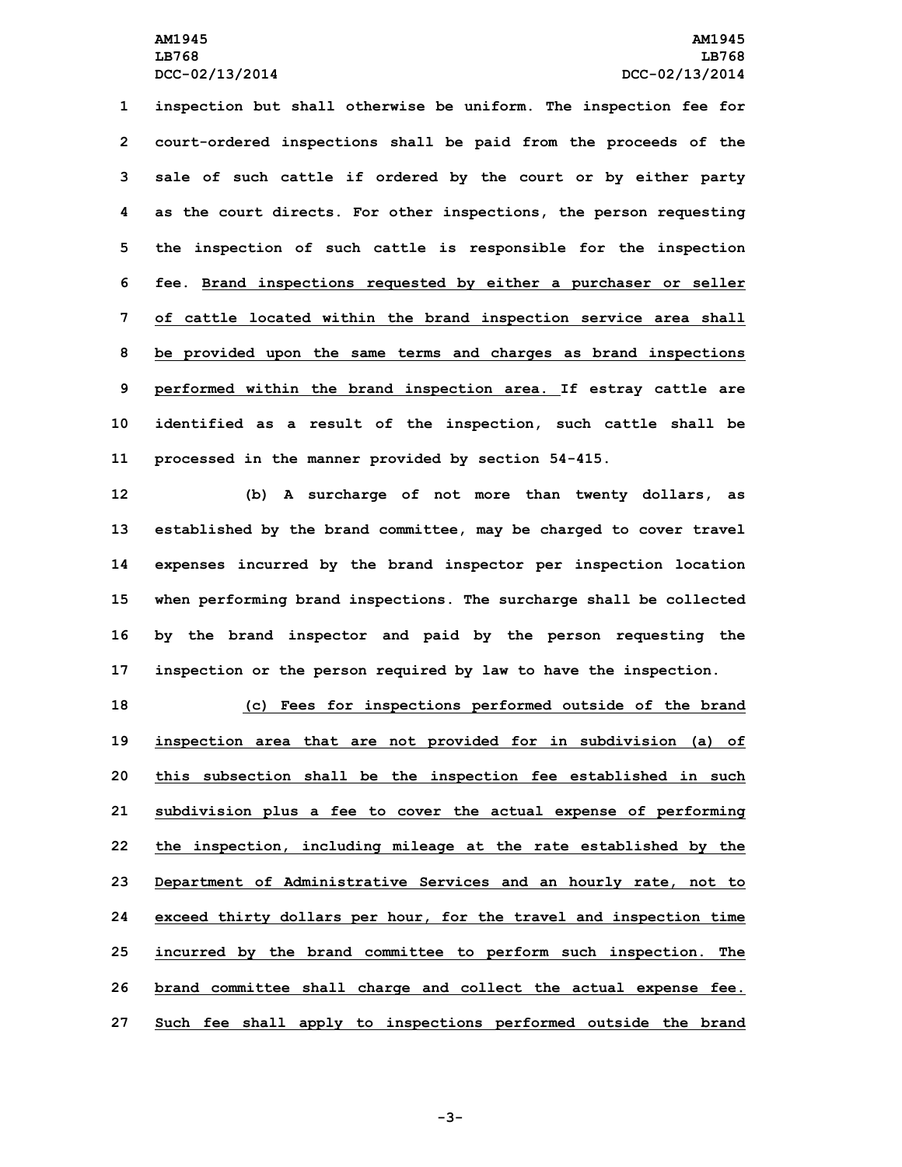**inspection but shall otherwise be uniform. The inspection fee for court-ordered inspections shall be paid from the proceeds of the sale of such cattle if ordered by the court or by either party as the court directs. For other inspections, the person requesting the inspection of such cattle is responsible for the inspection fee. Brand inspections requested by either <sup>a</sup> purchaser or seller of cattle located within the brand inspection service area shall be provided upon the same terms and charges as brand inspections performed within the brand inspection area. If estray cattle are identified as <sup>a</sup> result of the inspection, such cattle shall be processed in the manner provided by section 54-415.**

 **(b) <sup>A</sup> surcharge of not more than twenty dollars, as established by the brand committee, may be charged to cover travel expenses incurred by the brand inspector per inspection location when performing brand inspections. The surcharge shall be collected by the brand inspector and paid by the person requesting the inspection or the person required by law to have the inspection.**

 **(c) Fees for inspections performed outside of the brand inspection area that are not provided for in subdivision (a) of this subsection shall be the inspection fee established in such subdivision plus <sup>a</sup> fee to cover the actual expense of performing the inspection, including mileage at the rate established by the Department of Administrative Services and an hourly rate, not to exceed thirty dollars per hour, for the travel and inspection time incurred by the brand committee to perform such inspection. The brand committee shall charge and collect the actual expense fee. Such fee shall apply to inspections performed outside the brand**

**-3-**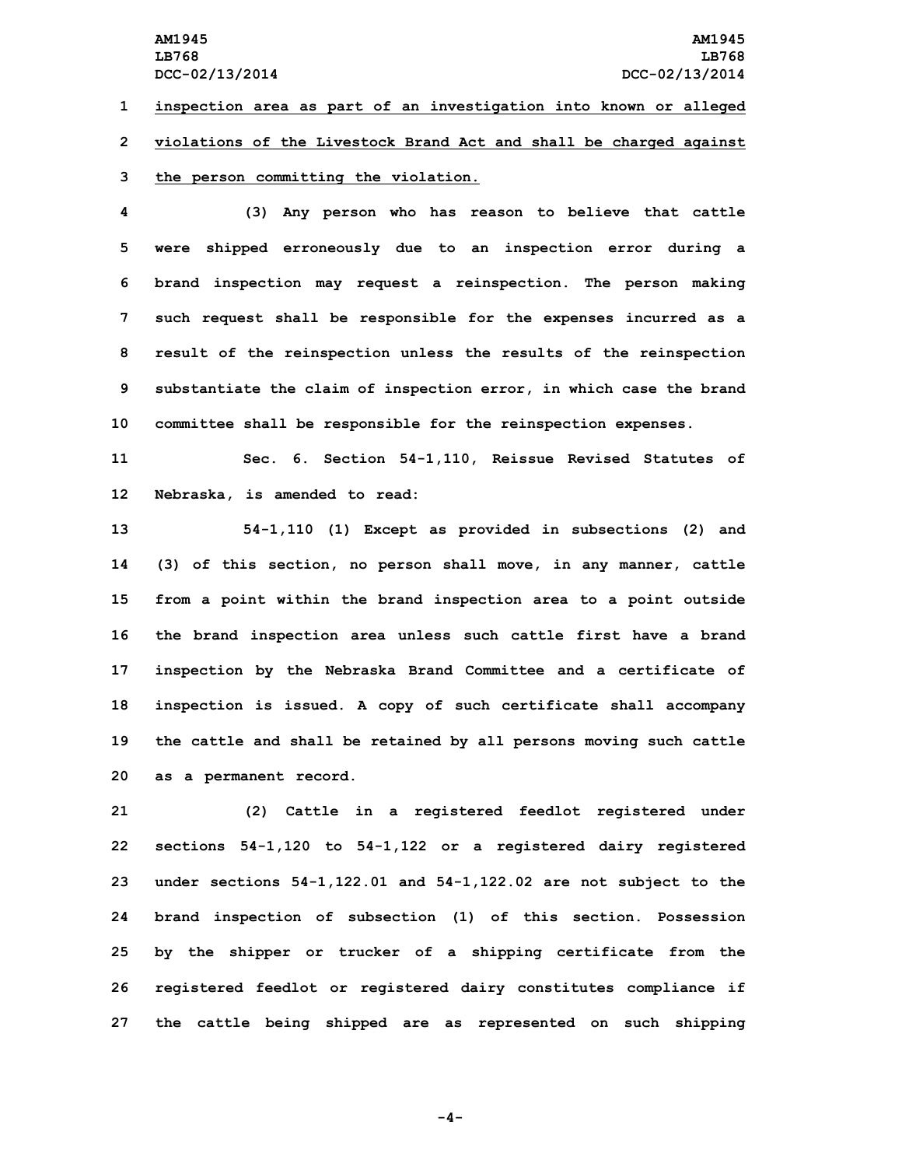**1 inspection area as part of an investigation into known or alleged 2 violations of the Livestock Brand Act and shall be charged against**

## **3 the person committing the violation.**

 **(3) Any person who has reason to believe that cattle were shipped erroneously due to an inspection error during <sup>a</sup> brand inspection may request <sup>a</sup> reinspection. The person making such request shall be responsible for the expenses incurred as <sup>a</sup> result of the reinspection unless the results of the reinspection substantiate the claim of inspection error, in which case the brand committee shall be responsible for the reinspection expenses.**

**11 Sec. 6. Section 54-1,110, Reissue Revised Statutes of 12 Nebraska, is amended to read:**

 **54-1,110 (1) Except as provided in subsections (2) and (3) of this section, no person shall move, in any manner, cattle from <sup>a</sup> point within the brand inspection area to <sup>a</sup> point outside the brand inspection area unless such cattle first have <sup>a</sup> brand inspection by the Nebraska Brand Committee and <sup>a</sup> certificate of inspection is issued. <sup>A</sup> copy of such certificate shall accompany the cattle and shall be retained by all persons moving such cattle as <sup>a</sup> permanent record.**

 **(2) Cattle in <sup>a</sup> registered feedlot registered under sections 54-1,120 to 54-1,122 or <sup>a</sup> registered dairy registered under sections 54-1,122.01 and 54-1,122.02 are not subject to the brand inspection of subsection (1) of this section. Possession by the shipper or trucker of <sup>a</sup> shipping certificate from the registered feedlot or registered dairy constitutes compliance if the cattle being shipped are as represented on such shipping**

**-4-**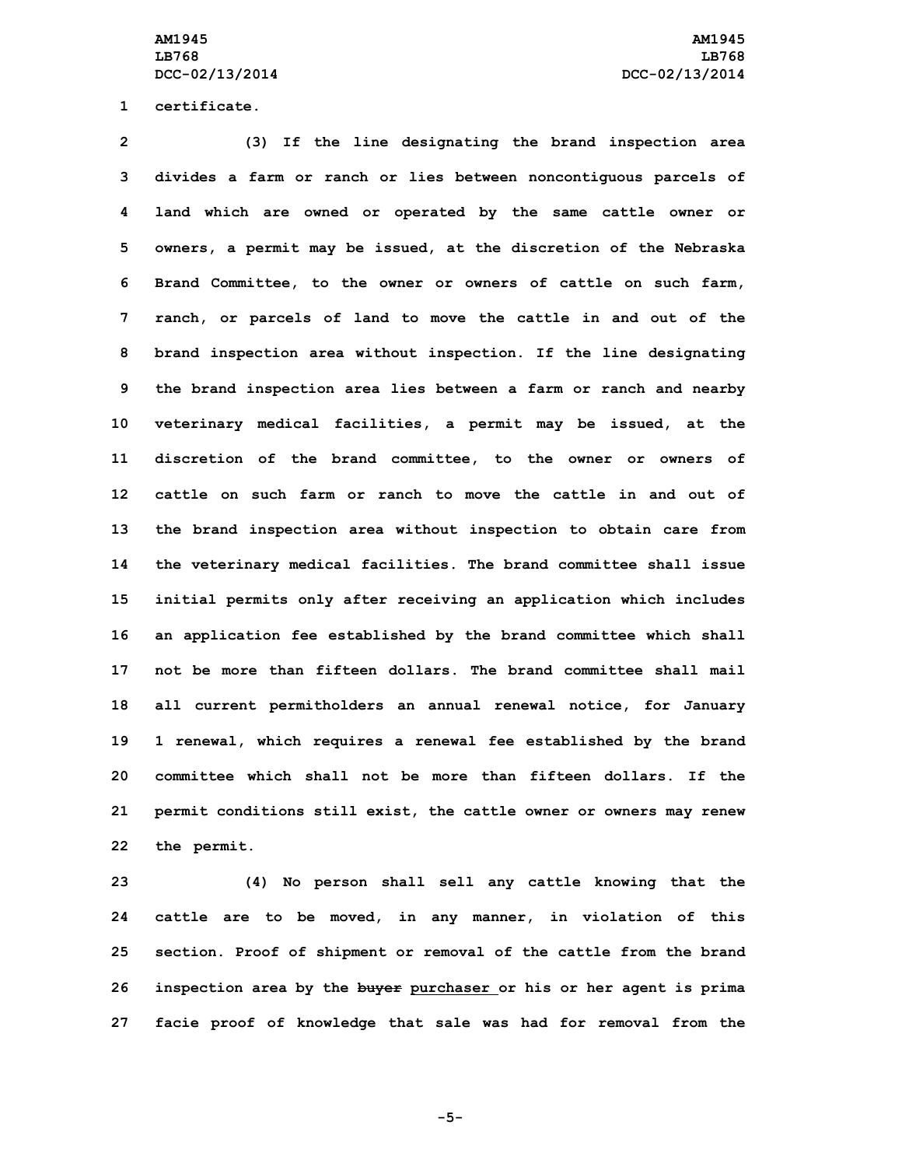**1 certificate.**

 **(3) If the line designating the brand inspection area divides <sup>a</sup> farm or ranch or lies between noncontiguous parcels of land which are owned or operated by the same cattle owner or owners, <sup>a</sup> permit may be issued, at the discretion of the Nebraska Brand Committee, to the owner or owners of cattle on such farm, ranch, or parcels of land to move the cattle in and out of the brand inspection area without inspection. If the line designating the brand inspection area lies between <sup>a</sup> farm or ranch and nearby veterinary medical facilities, <sup>a</sup> permit may be issued, at the discretion of the brand committee, to the owner or owners of cattle on such farm or ranch to move the cattle in and out of the brand inspection area without inspection to obtain care from the veterinary medical facilities. The brand committee shall issue initial permits only after receiving an application which includes an application fee established by the brand committee which shall not be more than fifteen dollars. The brand committee shall mail all current permitholders an annual renewal notice, for January 1 renewal, which requires <sup>a</sup> renewal fee established by the brand committee which shall not be more than fifteen dollars. If the**

**22 the permit.**

 **(4) No person shall sell any cattle knowing that the cattle are to be moved, in any manner, in violation of this section. Proof of shipment or removal of the cattle from the brand inspection area by the buyer purchaser or his or her agent is prima facie proof of knowledge that sale was had for removal from the**

**21 permit conditions still exist, the cattle owner or owners may renew**

**-5-**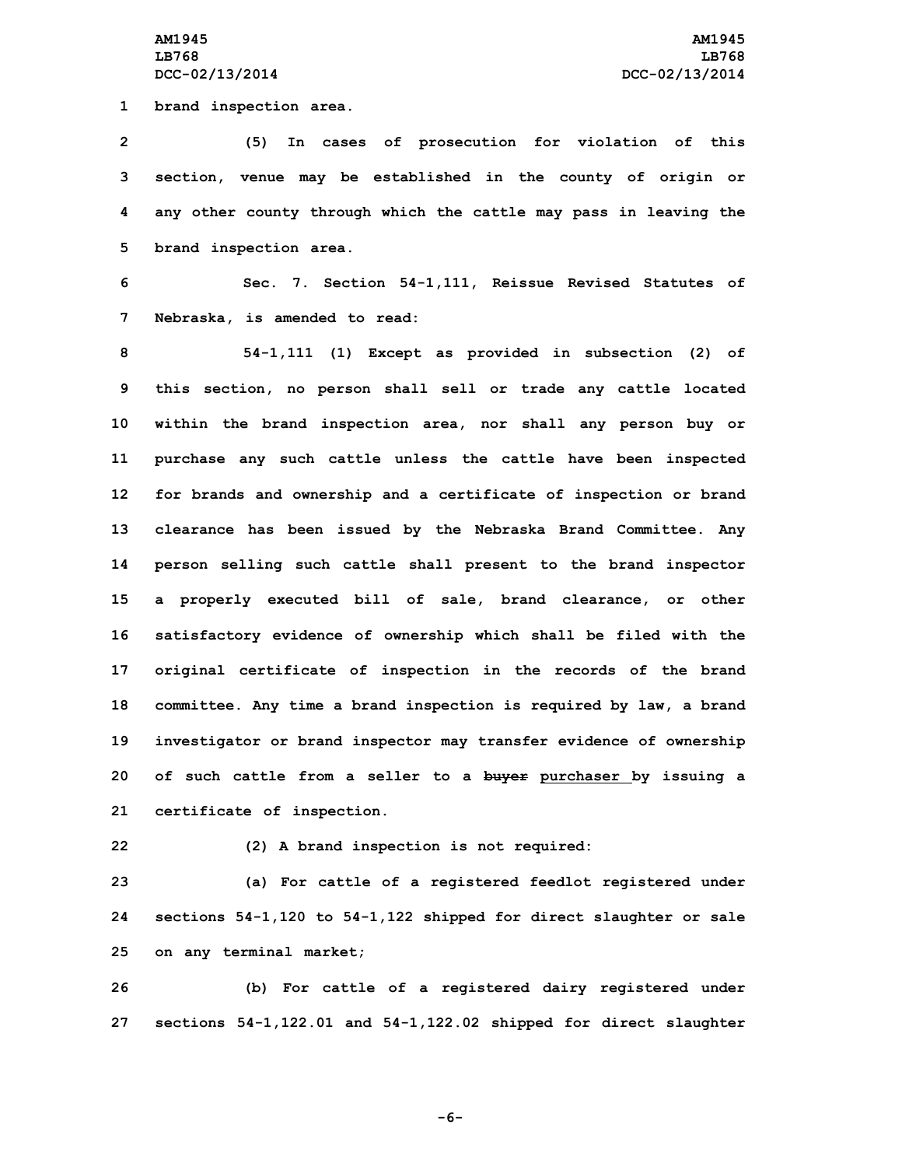**1 brand inspection area.**

 **(5) In cases of prosecution for violation of this section, venue may be established in the county of origin or any other county through which the cattle may pass in leaving the brand inspection area.**

**6 Sec. 7. Section 54-1,111, Reissue Revised Statutes of 7 Nebraska, is amended to read:**

 **54-1,111 (1) Except as provided in subsection (2) of this section, no person shall sell or trade any cattle located within the brand inspection area, nor shall any person buy or purchase any such cattle unless the cattle have been inspected for brands and ownership and <sup>a</sup> certificate of inspection or brand clearance has been issued by the Nebraska Brand Committee. Any person selling such cattle shall present to the brand inspector <sup>a</sup> properly executed bill of sale, brand clearance, or other satisfactory evidence of ownership which shall be filed with the original certificate of inspection in the records of the brand committee. Any time <sup>a</sup> brand inspection is required by law, <sup>a</sup> brand investigator or brand inspector may transfer evidence of ownership of such cattle from <sup>a</sup> seller to <sup>a</sup> buyer purchaser by issuing <sup>a</sup> certificate of inspection.**

**22 (2) <sup>A</sup> brand inspection is not required:**

**23 (a) For cattle of <sup>a</sup> registered feedlot registered under 24 sections 54-1,120 to 54-1,122 shipped for direct slaughter or sale 25 on any terminal market;**

**26 (b) For cattle of <sup>a</sup> registered dairy registered under 27 sections 54-1,122.01 and 54-1,122.02 shipped for direct slaughter**

**-6-**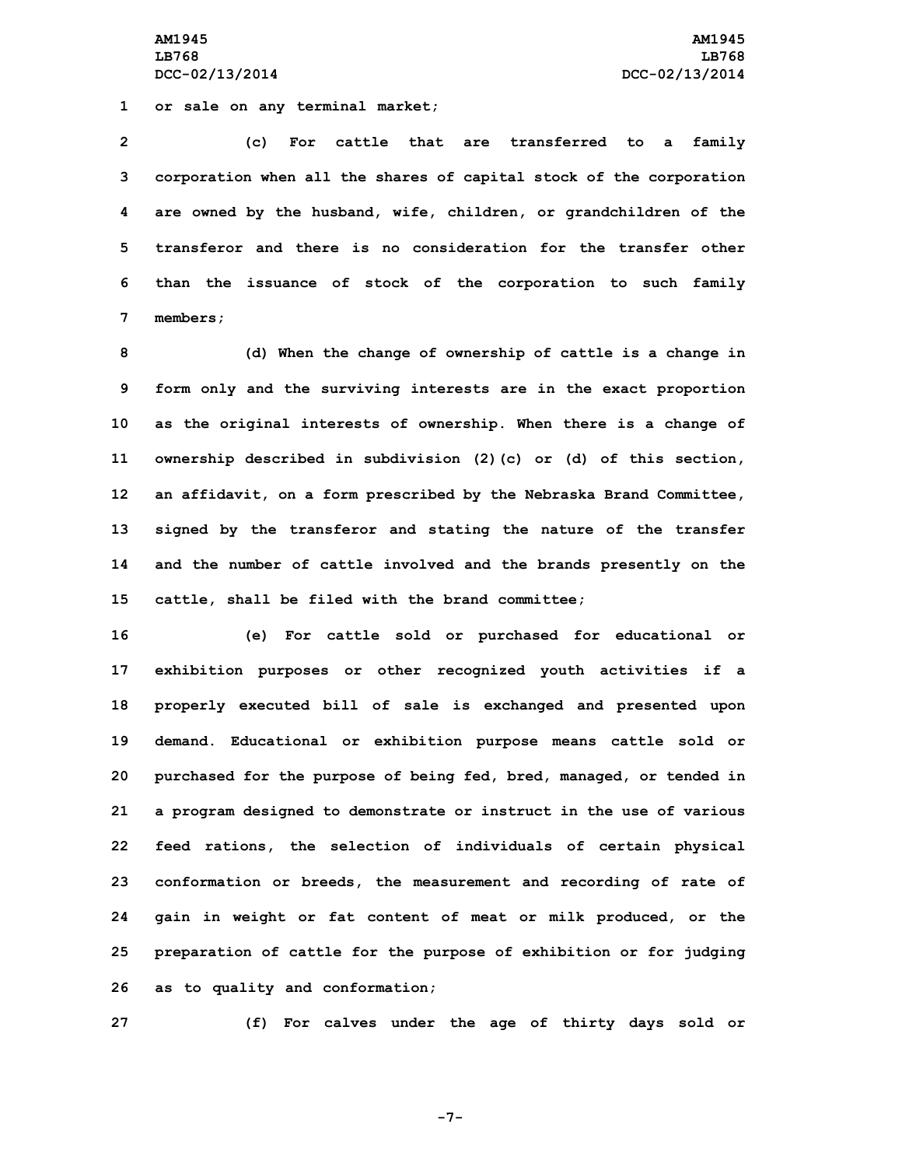**AM1945 AM1945 LB768 LB768 DCC-02/13/2014 DCC-02/13/2014**

**1 or sale on any terminal market;**

 **(c) For cattle that are transferred to <sup>a</sup> family corporation when all the shares of capital stock of the corporation are owned by the husband, wife, children, or grandchildren of the transferor and there is no consideration for the transfer other than the issuance of stock of the corporation to such family 7 members;**

 **(d) When the change of ownership of cattle is <sup>a</sup> change in form only and the surviving interests are in the exact proportion as the original interests of ownership. When there is <sup>a</sup> change of ownership described in subdivision (2)(c) or (d) of this section, an affidavit, on <sup>a</sup> form prescribed by the Nebraska Brand Committee, signed by the transferor and stating the nature of the transfer and the number of cattle involved and the brands presently on the cattle, shall be filed with the brand committee;**

 **(e) For cattle sold or purchased for educational or exhibition purposes or other recognized youth activities if <sup>a</sup> properly executed bill of sale is exchanged and presented upon demand. Educational or exhibition purpose means cattle sold or purchased for the purpose of being fed, bred, managed, or tended in <sup>a</sup> program designed to demonstrate or instruct in the use of various feed rations, the selection of individuals of certain physical conformation or breeds, the measurement and recording of rate of gain in weight or fat content of meat or milk produced, or the preparation of cattle for the purpose of exhibition or for judging as to quality and conformation;**

**27 (f) For calves under the age of thirty days sold or**

**-7-**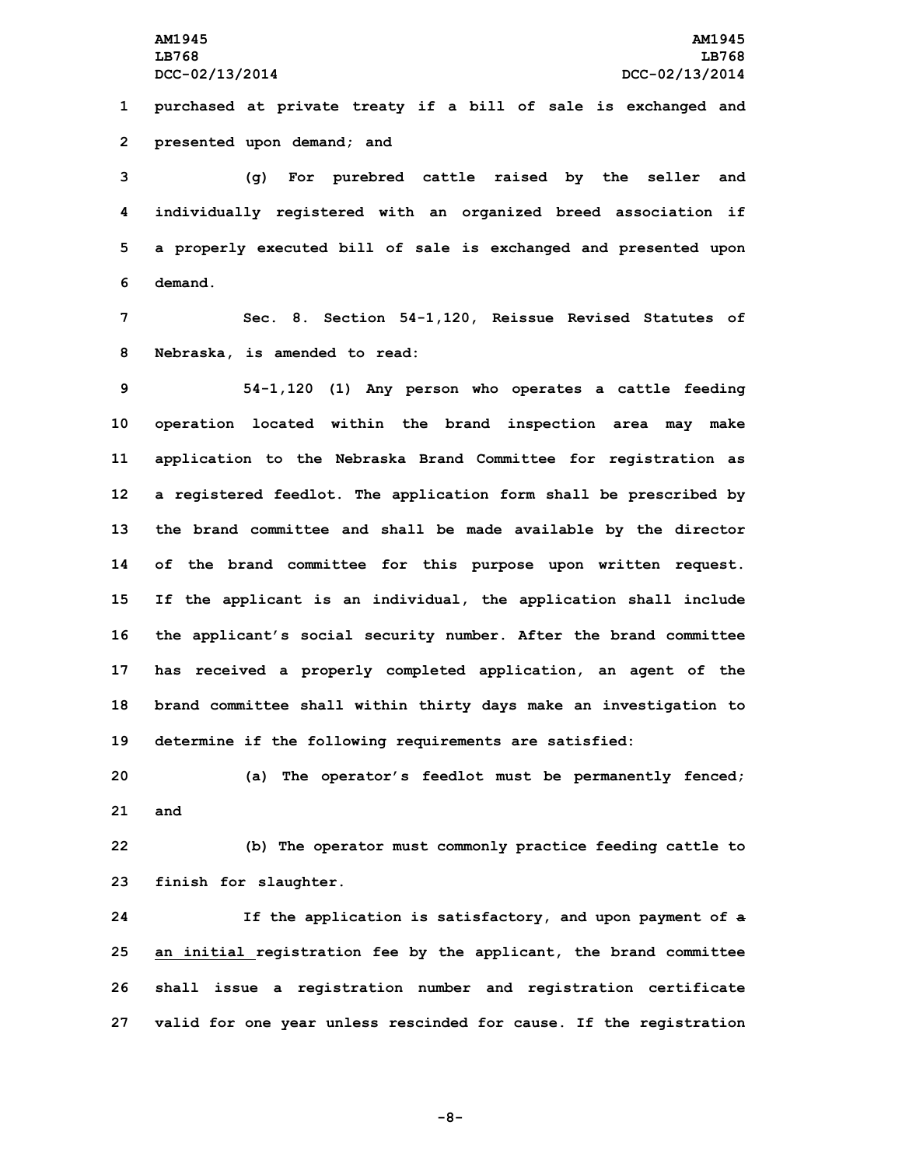**1 purchased at private treaty if <sup>a</sup> bill of sale is exchanged and 2 presented upon demand; and**

 **(g) For purebred cattle raised by the seller and individually registered with an organized breed association if <sup>a</sup> properly executed bill of sale is exchanged and presented upon 6 demand.**

**7 Sec. 8. Section 54-1,120, Reissue Revised Statutes of 8 Nebraska, is amended to read:**

 **54-1,120 (1) Any person who operates <sup>a</sup> cattle feeding operation located within the brand inspection area may make application to the Nebraska Brand Committee for registration as <sup>a</sup> registered feedlot. The application form shall be prescribed by the brand committee and shall be made available by the director of the brand committee for this purpose upon written request. If the applicant is an individual, the application shall include the applicant's social security number. After the brand committee has received <sup>a</sup> properly completed application, an agent of the brand committee shall within thirty days make an investigation to determine if the following requirements are satisfied:**

**20 (a) The operator's feedlot must be permanently fenced; 21 and**

**22 (b) The operator must commonly practice feeding cattle to 23 finish for slaughter.**

 **If the application is satisfactory, and upon payment of <sup>a</sup> an initial registration fee by the applicant, the brand committee shall issue <sup>a</sup> registration number and registration certificate valid for one year unless rescinded for cause. If the registration**

**-8-**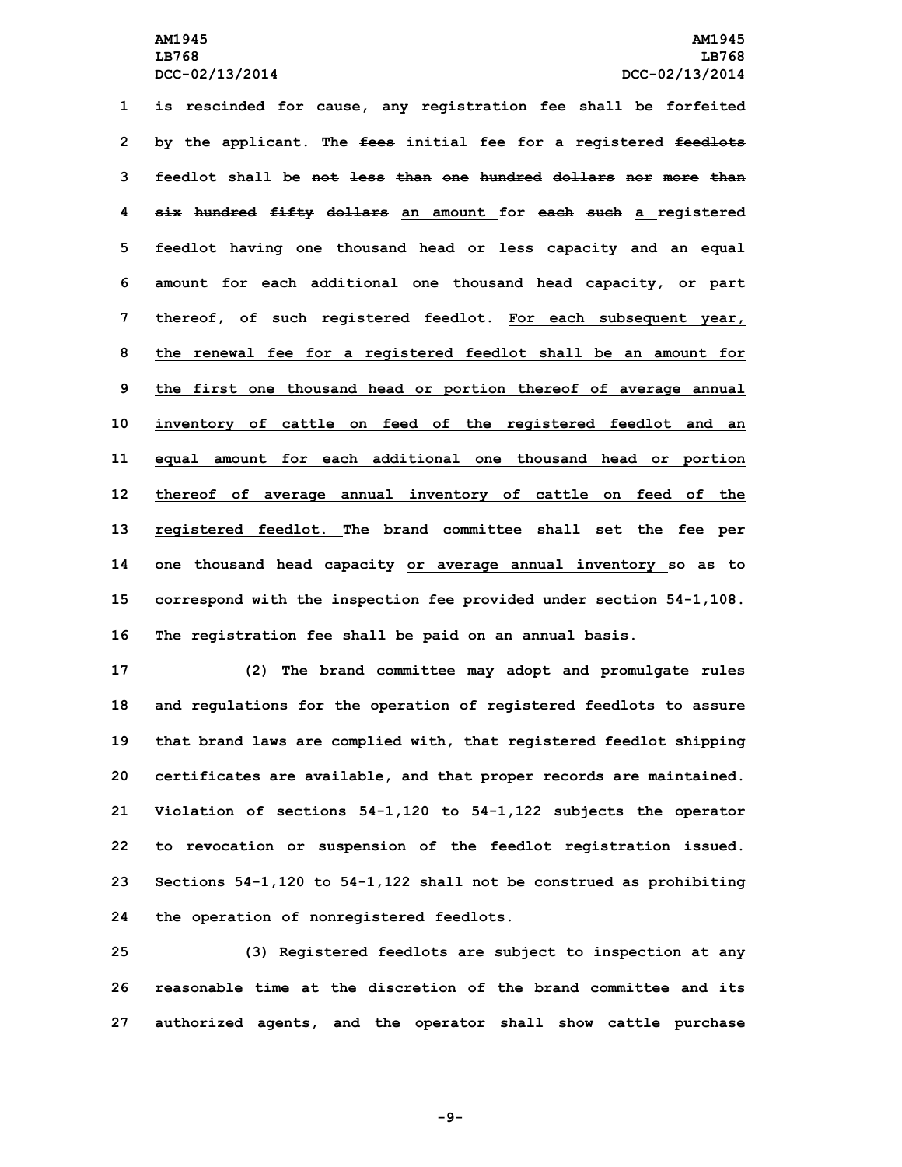**is rescinded for cause, any registration fee shall be forfeited by the applicant. The fees initial fee for <sup>a</sup> registered feedlots feedlot shall be not less than one hundred dollars nor more than six hundred fifty dollars an amount for each such <sup>a</sup> registered feedlot having one thousand head or less capacity and an equal amount for each additional one thousand head capacity, or part thereof, of such registered feedlot. For each subsequent year, the renewal fee for <sup>a</sup> registered feedlot shall be an amount for the first one thousand head or portion thereof of average annual inventory of cattle on feed of the registered feedlot and an equal amount for each additional one thousand head or portion thereof of average annual inventory of cattle on feed of the registered feedlot. The brand committee shall set the fee per one thousand head capacity or average annual inventory so as to correspond with the inspection fee provided under section 54-1,108. The registration fee shall be paid on an annual basis.**

 **(2) The brand committee may adopt and promulgate rules and regulations for the operation of registered feedlots to assure that brand laws are complied with, that registered feedlot shipping certificates are available, and that proper records are maintained. Violation of sections 54-1,120 to 54-1,122 subjects the operator to revocation or suspension of the feedlot registration issued. Sections 54-1,120 to 54-1,122 shall not be construed as prohibiting the operation of nonregistered feedlots.**

**25 (3) Registered feedlots are subject to inspection at any 26 reasonable time at the discretion of the brand committee and its 27 authorized agents, and the operator shall show cattle purchase**

**-9-**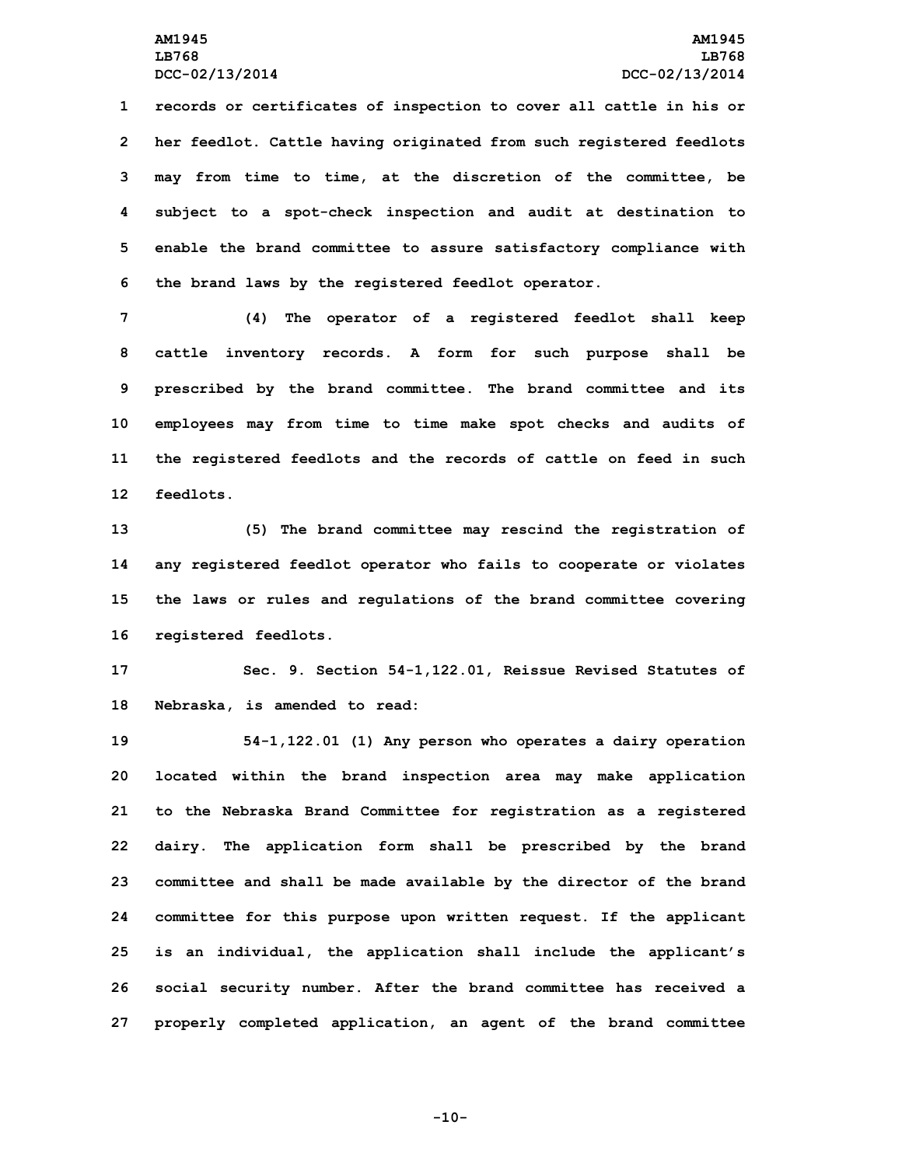**records or certificates of inspection to cover all cattle in his or her feedlot. Cattle having originated from such registered feedlots may from time to time, at the discretion of the committee, be subject to <sup>a</sup> spot-check inspection and audit at destination to enable the brand committee to assure satisfactory compliance with the brand laws by the registered feedlot operator.**

 **(4) The operator of <sup>a</sup> registered feedlot shall keep cattle inventory records. <sup>A</sup> form for such purpose shall be prescribed by the brand committee. The brand committee and its employees may from time to time make spot checks and audits of the registered feedlots and the records of cattle on feed in such feedlots.**

 **(5) The brand committee may rescind the registration of any registered feedlot operator who fails to cooperate or violates the laws or rules and regulations of the brand committee covering registered feedlots.**

**17 Sec. 9. Section 54-1,122.01, Reissue Revised Statutes of 18 Nebraska, is amended to read:**

 **54-1,122.01 (1) Any person who operates <sup>a</sup> dairy operation located within the brand inspection area may make application to the Nebraska Brand Committee for registration as <sup>a</sup> registered dairy. The application form shall be prescribed by the brand committee and shall be made available by the director of the brand committee for this purpose upon written request. If the applicant is an individual, the application shall include the applicant's social security number. After the brand committee has received <sup>a</sup> properly completed application, an agent of the brand committee**

**-10-**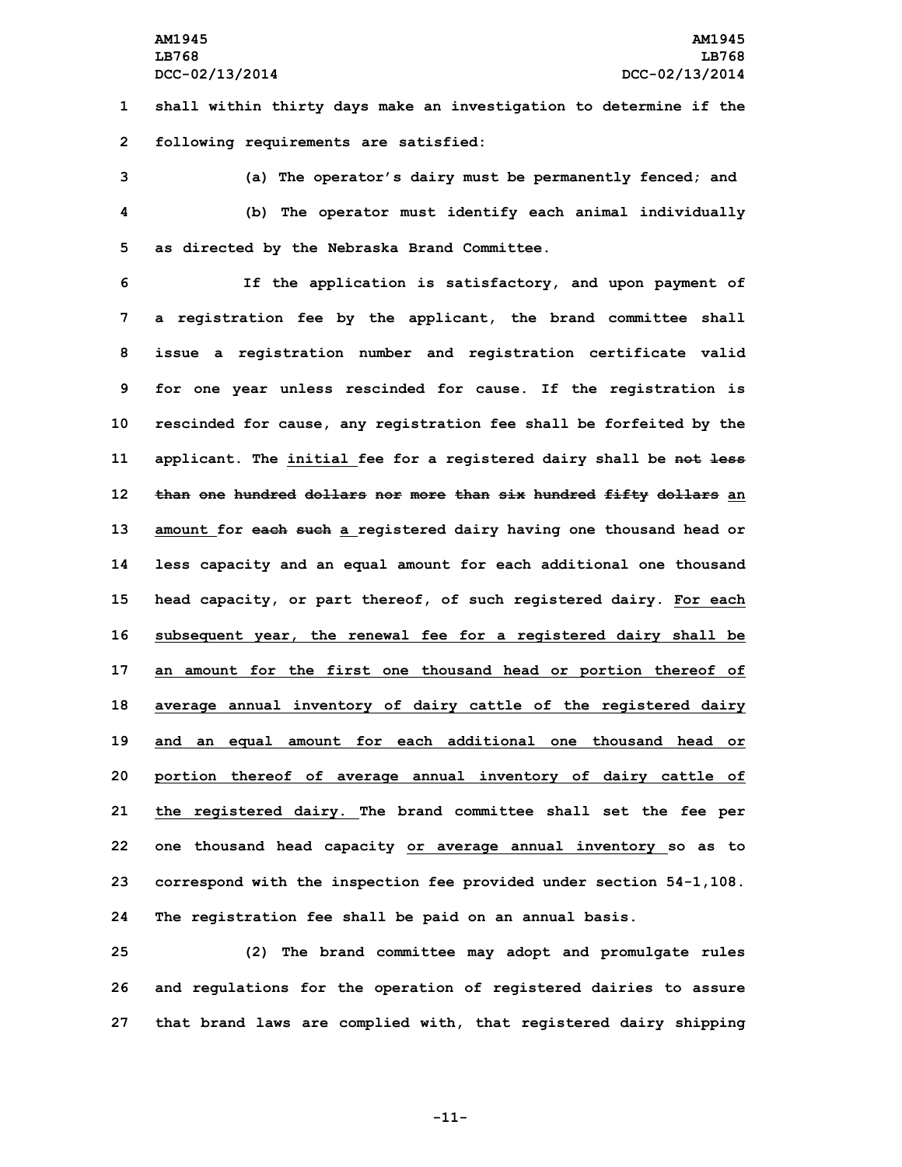**1 shall within thirty days make an investigation to determine if the 2 following requirements are satisfied:**

**3 (a) The operator's dairy must be permanently fenced; and 4 (b) The operator must identify each animal individually 5 as directed by the Nebraska Brand Committee.**

 **If the application is satisfactory, and upon payment of <sup>a</sup> registration fee by the applicant, the brand committee shall issue <sup>a</sup> registration number and registration certificate valid for one year unless rescinded for cause. If the registration is rescinded for cause, any registration fee shall be forfeited by the applicant. The initial fee for <sup>a</sup> registered dairy shall be not less than one hundred dollars nor more than six hundred fifty dollars an amount for each such <sup>a</sup> registered dairy having one thousand head or less capacity and an equal amount for each additional one thousand head capacity, or part thereof, of such registered dairy. For each subsequent year, the renewal fee for <sup>a</sup> registered dairy shall be an amount for the first one thousand head or portion thereof of average annual inventory of dairy cattle of the registered dairy and an equal amount for each additional one thousand head or portion thereof of average annual inventory of dairy cattle of the registered dairy. The brand committee shall set the fee per one thousand head capacity or average annual inventory so as to correspond with the inspection fee provided under section 54-1,108. The registration fee shall be paid on an annual basis.**

**25 (2) The brand committee may adopt and promulgate rules 26 and regulations for the operation of registered dairies to assure 27 that brand laws are complied with, that registered dairy shipping**

**-11-**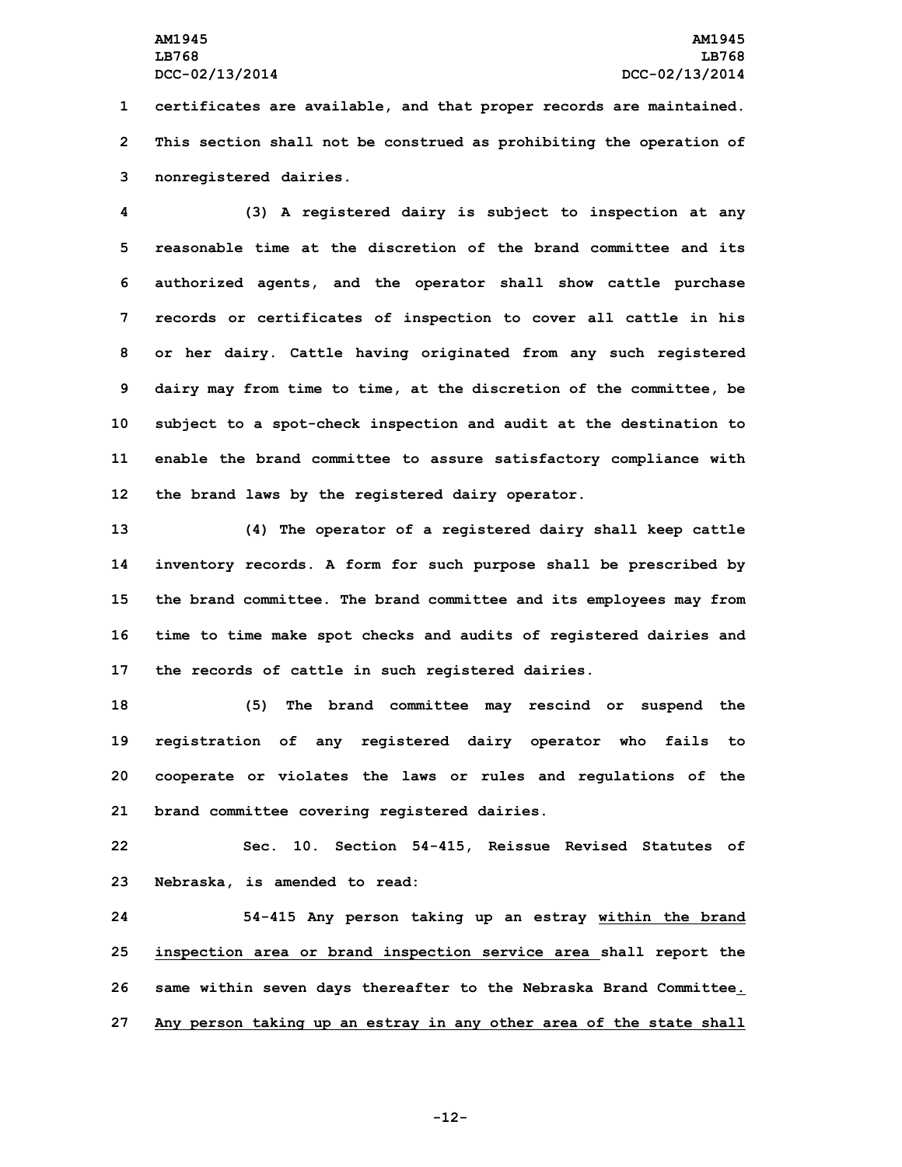**1 certificates are available, and that proper records are maintained. 2 This section shall not be construed as prohibiting the operation of 3 nonregistered dairies.**

 **(3) <sup>A</sup> registered dairy is subject to inspection at any reasonable time at the discretion of the brand committee and its authorized agents, and the operator shall show cattle purchase records or certificates of inspection to cover all cattle in his or her dairy. Cattle having originated from any such registered dairy may from time to time, at the discretion of the committee, be subject to <sup>a</sup> spot-check inspection and audit at the destination to enable the brand committee to assure satisfactory compliance with the brand laws by the registered dairy operator.**

 **(4) The operator of <sup>a</sup> registered dairy shall keep cattle inventory records. <sup>A</sup> form for such purpose shall be prescribed by the brand committee. The brand committee and its employees may from time to time make spot checks and audits of registered dairies and the records of cattle in such registered dairies.**

 **(5) The brand committee may rescind or suspend the registration of any registered dairy operator who fails to cooperate or violates the laws or rules and regulations of the brand committee covering registered dairies.**

**22 Sec. 10. Section 54-415, Reissue Revised Statutes of 23 Nebraska, is amended to read:**

 **54-415 Any person taking up an estray within the brand inspection area or brand inspection service area shall report the same within seven days thereafter to the Nebraska Brand Committee. Any person taking up an estray in any other area of the state shall**

**-12-**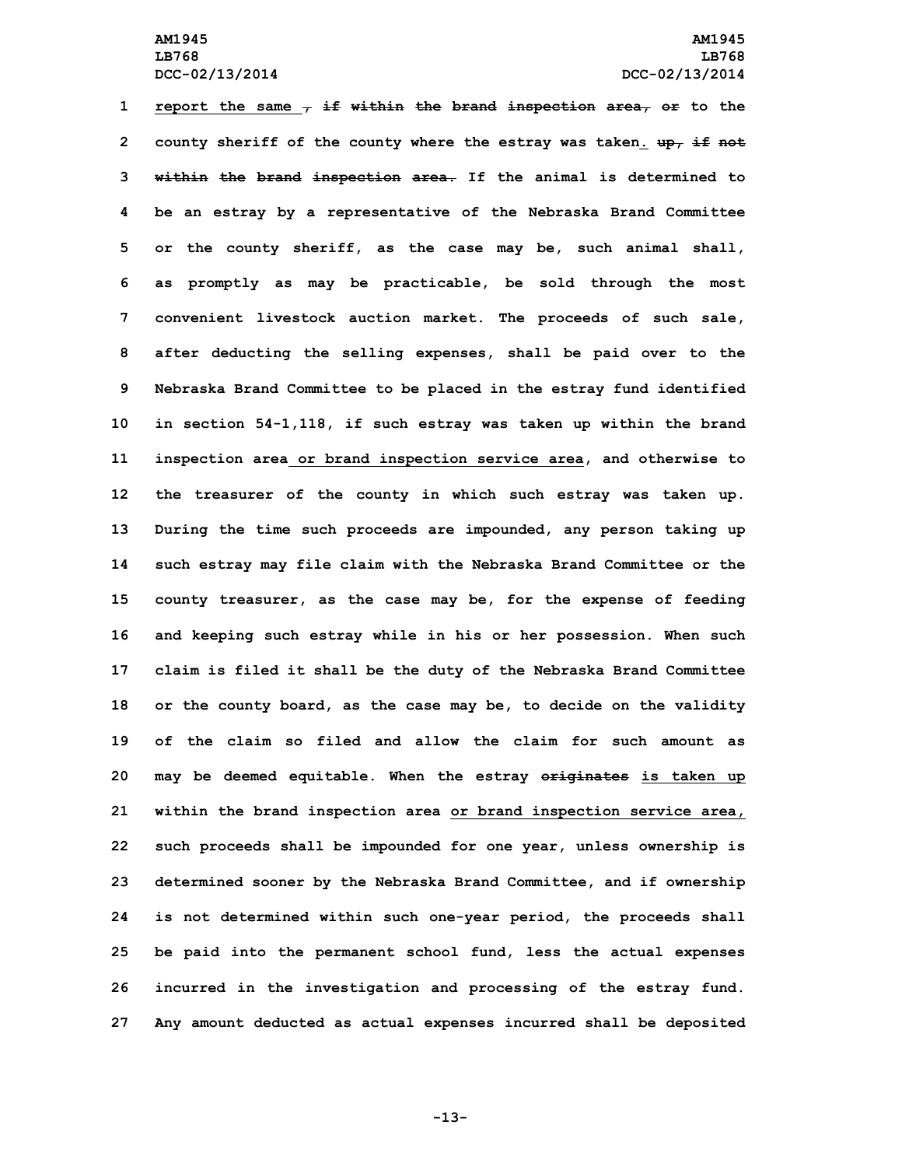**report the same , if within the brand inspection area, or to the county sheriff of the county where the estray was taken. up, if not within the brand inspection area. If the animal is determined to be an estray by <sup>a</sup> representative of the Nebraska Brand Committee or the county sheriff, as the case may be, such animal shall, as promptly as may be practicable, be sold through the most convenient livestock auction market. The proceeds of such sale, after deducting the selling expenses, shall be paid over to the Nebraska Brand Committee to be placed in the estray fund identified in section 54-1,118, if such estray was taken up within the brand inspection area or brand inspection service area, and otherwise to the treasurer of the county in which such estray was taken up. During the time such proceeds are impounded, any person taking up such estray may file claim with the Nebraska Brand Committee or the county treasurer, as the case may be, for the expense of feeding and keeping such estray while in his or her possession. When such claim is filed it shall be the duty of the Nebraska Brand Committee or the county board, as the case may be, to decide on the validity of the claim so filed and allow the claim for such amount as may be deemed equitable. When the estray originates is taken up within the brand inspection area or brand inspection service area, such proceeds shall be impounded for one year, unless ownership is determined sooner by the Nebraska Brand Committee, and if ownership is not determined within such one-year period, the proceeds shall be paid into the permanent school fund, less the actual expenses incurred in the investigation and processing of the estray fund. Any amount deducted as actual expenses incurred shall be deposited**

**-13-**